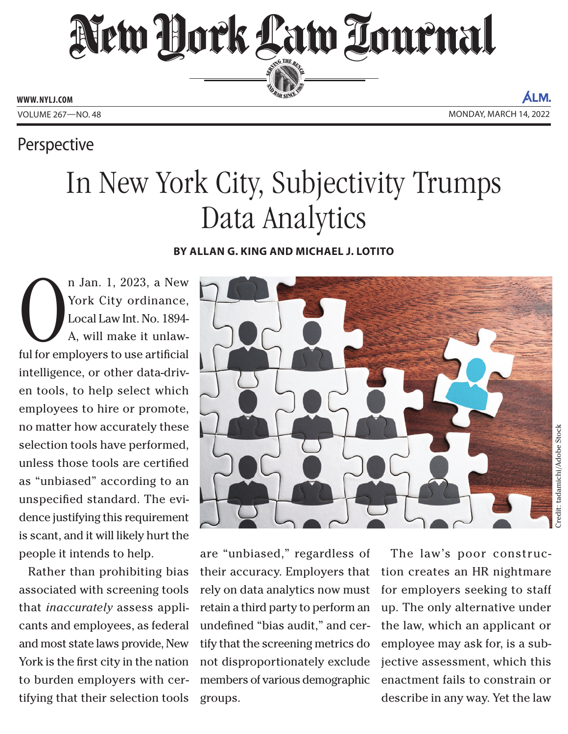New Dock Law Lournal SERVING THE BEN **ED BAR SINCE 188** 

**WWW. NYLJ.COM**

ÁLM. VOLUME 267—NO. 48 MONDAY, MARCH 14, 2022

## Perspective

## In New York City, Subjectivity Trumps Data Analytics

## **BY ALLAN G. KING AND MICHAEL J. LOTITO**

n Jan. 1, 2023, a New York City ordinance, Local Law Int. No. 1894-<br>A, will make it unlaw-<br>ful for employers to use artificial n Jan. 1, 2023, a New York City ordinance, Local Law Int. No. 1894- A, will make it unlawintelligence, or other data-driven tools, to help select which employees to hire or promote, no matter how accurately these selection tools have performed, unless those tools are certified as "unbiased" according to an unspecified standard. The evidence justifying this requirement is scant, and it will likely hurt the people it intends to help.

Rather than prohibiting bias associated with screening tools that *inaccurately* assess applicants and employees, as federal and most state laws provide, New York is the first city in the nation to burden employers with certifying that their selection tools



are "unbiased," regardless of their accuracy. Employers that rely on data analytics now must retain a third party to perform an undefined "bias audit," and certify that the screening metrics do not disproportionately exclude members of various demographic groups.

The law's poor construction creates an HR nightmare for employers seeking to staff up. The only alternative under the law, which an applicant or employee may ask for, is a subjective assessment, which this enactment fails to constrain or describe in any way. Yet the law